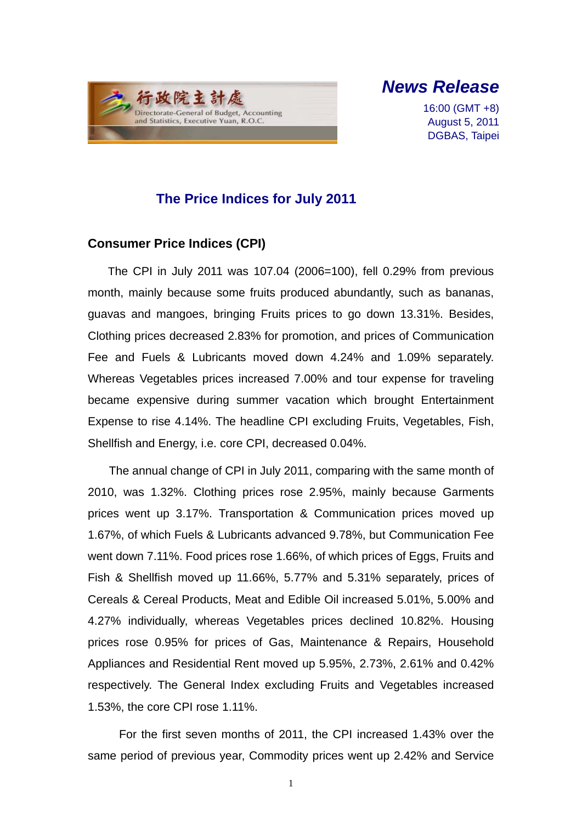

*News Release*

16:00 (GMT +8) August 5, 2011 DGBAS, Taipei

## **The Price Indices for July 2011**

### **Consumer Price Indices (CPI)**

The CPI in July 2011 was 107.04 (2006=100), fell 0.29% from previous month, mainly because some fruits produced abundantly, such as bananas, guavas and mangoes, bringing Fruits prices to go down 13.31%. Besides, Clothing prices decreased 2.83% for promotion, and prices of Communication Fee and Fuels & Lubricants moved down 4.24% and 1.09% separately. Whereas Vegetables prices increased 7.00% and tour expense for traveling became expensive during summer vacation which brought Entertainment Expense to rise 4.14%. The headline CPI excluding Fruits, Vegetables, Fish, Shellfish and Energy, i.e. core CPI, decreased 0.04%.

The annual change of CPI in July 2011, comparing with the same month of 2010, was 1.32%. Clothing prices rose 2.95%, mainly because Garments prices went up 3.17%. Transportation & Communication prices moved up 1.67%, of which Fuels & Lubricants advanced 9.78%, but Communication Fee went down 7.11%. Food prices rose 1.66%, of which prices of Eggs, Fruits and Fish & Shellfish moved up 11.66%, 5.77% and 5.31% separately, prices of Cereals & Cereal Products, Meat and Edible Oil increased 5.01%, 5.00% and 4.27% individually, whereas Vegetables prices declined 10.82%. Housing prices rose 0.95% for prices of Gas, Maintenance & Repairs, Household Appliances and Residential Rent moved up 5.95%, 2.73%, 2.61% and 0.42% respectively. The General Index excluding Fruits and Vegetables increased 1.53%, the core CPI rose 1.11%.

For the first seven months of 2011, the CPI increased 1.43% over the same period of previous year, Commodity prices went up 2.42% and Service

1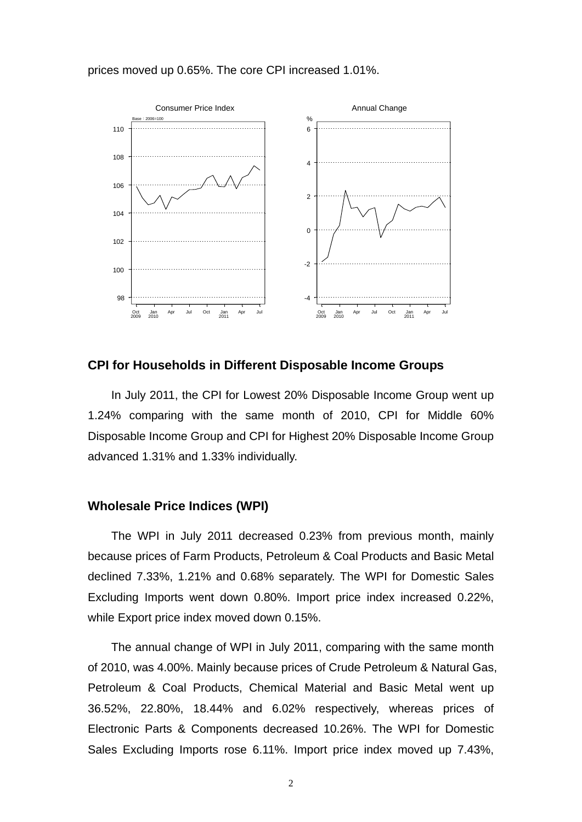#### prices moved up 0.65%. The core CPI increased 1.01%.



#### **CPI for Households in Different Disposable Income Groups**

In July 2011, the CPI for Lowest 20% Disposable Income Group went up 1.24% comparing with the same month of 2010, CPI for Middle 60% Disposable Income Group and CPI for Highest 20% Disposable Income Group advanced 1.31% and 1.33% individually.

#### **Wholesale Price Indices (WPI)**

The WPI in July 2011 decreased 0.23% from previous month, mainly because prices of Farm Products, Petroleum & Coal Products and Basic Metal declined 7.33%, 1.21% and 0.68% separately. The WPI for Domestic Sales Excluding Imports went down 0.80%. Import price index increased 0.22%, while Export price index moved down 0.15%.

The annual change of WPI in July 2011, comparing with the same month of 2010, was 4.00%. Mainly because prices of Crude Petroleum & Natural Gas, Petroleum & Coal Products, Chemical Material and Basic Metal went up 36.52%, 22.80%, 18.44% and 6.02% respectively, whereas prices of Electronic Parts & Components decreased 10.26%. The WPI for Domestic Sales Excluding Imports rose 6.11%. Import price index moved up 7.43%,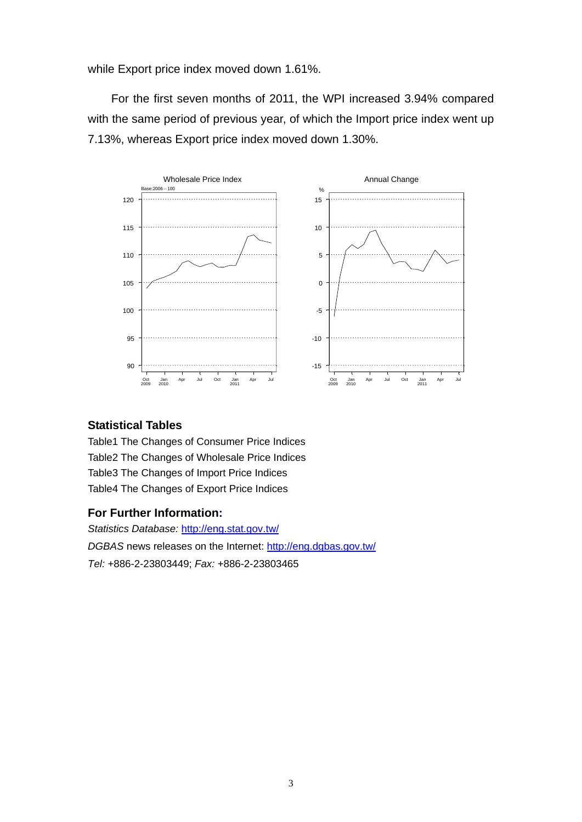while Export price index moved down 1.61%.

For the first seven months of 2011, the WPI increased 3.94% compared with the same period of previous year, of which the Import price index went up 7.13%, whereas Export price index moved down 1.30%.



#### **Statistical Tables**

Table1 The Changes of Consumer Price Indices Table2 The Changes of Wholesale Price Indices Table3 The Changes of Import Price Indices Table4 The Changes of Export Price Indices

#### **For Further Information:**

*Statistics Database:* http://eng.stat.gov.tw/ *DGBAS* news releases on the Internet: http://eng.dgbas.gov.tw/ *Tel:* +886-2-23803449; *Fax:* +886-2-23803465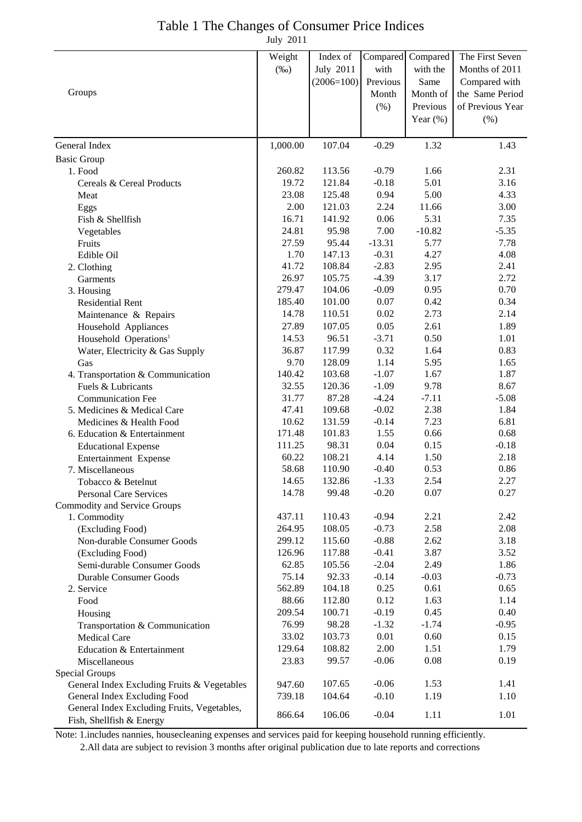# Table 1 The Changes of Consumer Price Indices

July 2011

|                                                                             | Weight<br>$(\%0)$ | Index of<br><b>July 2011</b><br>$(2006=100)$ | Compared<br>with<br>Previous | Compared<br>with the<br>Same        | The First Seven<br>Months of 2011<br>Compared with |
|-----------------------------------------------------------------------------|-------------------|----------------------------------------------|------------------------------|-------------------------------------|----------------------------------------------------|
| Groups                                                                      |                   |                                              | Month<br>$(\% )$             | Month of<br>Previous<br>Year $(\%)$ | the Same Period<br>of Previous Year<br>(% )        |
|                                                                             |                   |                                              |                              |                                     |                                                    |
| General Index                                                               | 1,000.00          | 107.04                                       | $-0.29$                      | 1.32                                | 1.43                                               |
| <b>Basic Group</b>                                                          | 260.82            |                                              |                              |                                     |                                                    |
| 1. Food                                                                     | 19.72             | 113.56<br>121.84                             | $-0.79$<br>$-0.18$           | 1.66<br>5.01                        | 2.31<br>3.16                                       |
| Cereals & Cereal Products                                                   | 23.08             | 125.48                                       | 0.94                         | 5.00                                | 4.33                                               |
| Meat                                                                        | 2.00              | 121.03                                       | 2.24                         | 11.66                               | 3.00                                               |
| Eggs<br>Fish & Shellfish                                                    | 16.71             | 141.92                                       | 0.06                         | 5.31                                | 7.35                                               |
|                                                                             | 24.81             | 95.98                                        | 7.00                         | $-10.82$                            | $-5.35$                                            |
| Vegetables<br>Fruits                                                        | 27.59             | 95.44                                        | $-13.31$                     | 5.77                                | 7.78                                               |
| Edible Oil                                                                  | 1.70              | 147.13                                       | $-0.31$                      | 4.27                                | 4.08                                               |
| 2. Clothing                                                                 | 41.72             | 108.84                                       | $-2.83$                      | 2.95                                | 2.41                                               |
| Garments                                                                    | 26.97             | 105.75                                       | $-4.39$                      | 3.17                                | 2.72                                               |
| 3. Housing                                                                  | 279.47            | 104.06                                       | $-0.09$                      | 0.95                                | 0.70                                               |
| <b>Residential Rent</b>                                                     | 185.40            | 101.00                                       | 0.07                         | 0.42                                | 0.34                                               |
| Maintenance & Repairs                                                       | 14.78             | 110.51                                       | 0.02                         | 2.73                                | 2.14                                               |
| Household Appliances                                                        | 27.89             | 107.05                                       | 0.05                         | 2.61                                | 1.89                                               |
| Household Operations <sup>1</sup>                                           | 14.53             | 96.51                                        | $-3.71$                      | 0.50                                | 1.01                                               |
| Water, Electricity & Gas Supply                                             | 36.87             | 117.99                                       | 0.32                         | 1.64                                | 0.83                                               |
| Gas                                                                         | 9.70              | 128.09                                       | 1.14                         | 5.95                                | 1.65                                               |
| 4. Transportation & Communication                                           | 140.42            | 103.68                                       | $-1.07$                      | 1.67                                | 1.87                                               |
| Fuels & Lubricants                                                          | 32.55             | 120.36                                       | $-1.09$                      | 9.78                                | 8.67                                               |
| <b>Communication Fee</b>                                                    | 31.77             | 87.28                                        | $-4.24$                      | $-7.11$                             | $-5.08$                                            |
| 5. Medicines & Medical Care                                                 | 47.41             | 109.68                                       | $-0.02$                      | 2.38                                | 1.84                                               |
| Medicines & Health Food                                                     | 10.62             | 131.59                                       | $-0.14$                      | 7.23                                | 6.81                                               |
| 6. Education & Entertainment                                                | 171.48            | 101.83                                       | 1.55                         | 0.66                                | 0.68                                               |
| <b>Educational Expense</b>                                                  | 111.25            | 98.31                                        | 0.04                         | 0.15                                | $-0.18$                                            |
| Entertainment Expense                                                       | 60.22             | 108.21                                       | 4.14                         | 1.50                                | 2.18                                               |
| 7. Miscellaneous                                                            | 58.68             | 110.90                                       | $-0.40$                      | 0.53                                | 0.86                                               |
| Tobacco & Betelnut                                                          | 14.65             | 132.86                                       | $-1.33$                      | 2.54                                | 2.27                                               |
| <b>Personal Care Services</b>                                               | 14.78             | 99.48                                        | $-0.20$                      | 0.07                                | 0.27                                               |
| Commodity and Service Groups                                                |                   |                                              |                              |                                     |                                                    |
| 1. Commodity                                                                | 437.11            | 110.43                                       | $-0.94$                      | 2.21                                | 2.42                                               |
| (Excluding Food)                                                            | 264.95            | 108.05                                       | $-0.73$                      | 2.58                                | 2.08                                               |
| Non-durable Consumer Goods                                                  | 299.12            | 115.60                                       | $-0.88$                      | 2.62                                | 3.18                                               |
| (Excluding Food)                                                            | 126.96            | 117.88                                       | $-0.41$                      | 3.87                                | 3.52                                               |
| Semi-durable Consumer Goods                                                 | 62.85             | 105.56                                       | $-2.04$                      | 2.49                                | 1.86                                               |
| <b>Durable Consumer Goods</b>                                               | 75.14             | 92.33                                        | $-0.14$                      | $-0.03$                             | $-0.73$                                            |
| 2. Service                                                                  | 562.89            | 104.18                                       | 0.25                         | 0.61                                | 0.65                                               |
| Food                                                                        | 88.66             | 112.80                                       | 0.12                         | 1.63                                | 1.14                                               |
| Housing                                                                     | 209.54            | 100.71                                       | $-0.19$                      | 0.45                                | 0.40                                               |
| Transportation & Communication                                              | 76.99             | 98.28                                        | $-1.32$                      | $-1.74$                             | $-0.95$                                            |
| <b>Medical Care</b>                                                         | 33.02             | 103.73                                       | 0.01                         | 0.60                                | 0.15                                               |
| Education & Entertainment                                                   | 129.64            | 108.82                                       | 2.00                         | 1.51                                | 1.79                                               |
| Miscellaneous                                                               | 23.83             | 99.57                                        | $-0.06$                      | 0.08                                | 0.19                                               |
| Special Groups                                                              |                   | 107.65                                       | $-0.06$                      | 1.53                                | 1.41                                               |
| General Index Excluding Fruits & Vegetables<br>General Index Excluding Food | 947.60<br>739.18  | 104.64                                       | $-0.10$                      | 1.19                                | 1.10                                               |
| General Index Excluding Fruits, Vegetables,                                 |                   |                                              |                              |                                     |                                                    |
| Fish, Shellfish & Energy                                                    | 866.64            | 106.06                                       | $-0.04$                      | 1.11                                | 1.01                                               |

Note: 1.includes nannies, housecleaning expenses and services paid for keeping household running efficiently. 2.All data are subject to revision 3 months after original publication due to late reports and corrections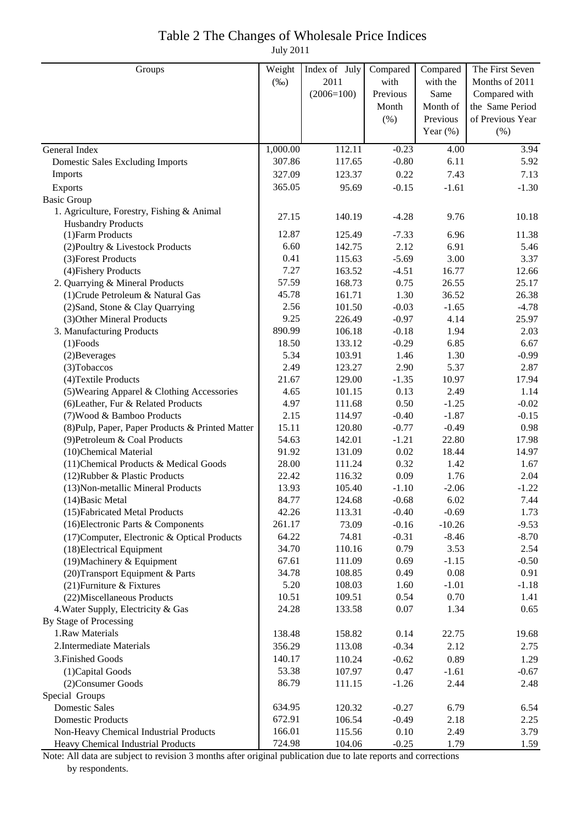### Table 2 The Changes of Wholesale Price Indices

July 2011

| Groups                                           | Weight       | Index of July    | Compared           | Compared     | The First Seven  |
|--------------------------------------------------|--------------|------------------|--------------------|--------------|------------------|
|                                                  | $(\%0)$      | 2011             | with               | with the     | Months of 2011   |
|                                                  |              | $(2006=100)$     | Previous           | Same         | Compared with    |
|                                                  |              |                  | Month              | Month of     | the Same Period  |
|                                                  |              |                  | (% )               | Previous     | of Previous Year |
|                                                  |              |                  |                    | Year $(\%)$  | (% )             |
| General Index                                    | 1,000.00     | 112.11           | $-0.23$            | 4.00         | 3.94             |
| <b>Domestic Sales Excluding Imports</b>          | 307.86       | 117.65           | $-0.80$            | 6.11         | 5.92             |
| Imports                                          | 327.09       | 123.37           | 0.22               | 7.43         | 7.13             |
| Exports                                          | 365.05       | 95.69            | $-0.15$            | $-1.61$      | $-1.30$          |
| <b>Basic Group</b>                               |              |                  |                    |              |                  |
| 1. Agriculture, Forestry, Fishing & Animal       | 27.15        | 140.19           | $-4.28$            | 9.76         | 10.18            |
| <b>Husbandry Products</b>                        |              |                  |                    |              |                  |
| (1) Farm Products                                | 12.87        | 125.49           | $-7.33$            | 6.96         | 11.38            |
| (2) Poultry & Livestock Products                 | 6.60         | 142.75           | 2.12               | 6.91         | 5.46             |
| (3) Forest Products                              | 0.41         | 115.63           | $-5.69$            | 3.00         | 3.37             |
| (4) Fishery Products                             | 7.27         | 163.52           | $-4.51$            | 16.77        | 12.66            |
| 2. Quarrying & Mineral Products                  | 57.59        | 168.73           | 0.75               | 26.55        | 25.17            |
| (1) Crude Petroleum & Natural Gas                | 45.78        | 161.71           | 1.30               | 36.52        | 26.38            |
| (2) Sand, Stone & Clay Quarrying                 | 2.56<br>9.25 | 101.50           | $-0.03$            | $-1.65$      | $-4.78$          |
| (3) Other Mineral Products                       | 890.99       | 226.49           | $-0.97$            | 4.14         | 25.97            |
| 3. Manufacturing Products                        | 18.50        | 106.18<br>133.12 | $-0.18$<br>$-0.29$ | 1.94<br>6.85 | 2.03             |
| $(1)$ Foods                                      | 5.34         | 103.91           | 1.46               | 1.30         | 6.67<br>$-0.99$  |
| (2) Beverages<br>(3) Tobaccos                    | 2.49         | 123.27           | 2.90               | 5.37         | 2.87             |
| (4) Textile Products                             | 21.67        | 129.00           | $-1.35$            | 10.97        | 17.94            |
| (5) Wearing Apparel & Clothing Accessories       | 4.65         | 101.15           | 0.13               | 2.49         | 1.14             |
| (6) Leather, Fur & Related Products              | 4.97         | 111.68           | 0.50               | $-1.25$      | $-0.02$          |
| (7) Wood & Bamboo Products                       | 2.15         | 114.97           | $-0.40$            | $-1.87$      | $-0.15$          |
| (8) Pulp, Paper, Paper Products & Printed Matter | 15.11        | 120.80           | $-0.77$            | $-0.49$      | 0.98             |
| (9) Petroleum & Coal Products                    | 54.63        | 142.01           | $-1.21$            | 22.80        | 17.98            |
| (10)Chemical Material                            | 91.92        | 131.09           | 0.02               | 18.44        | 14.97            |
| (11) Chemical Products & Medical Goods           | 28.00        | 111.24           | 0.32               | 1.42         | 1.67             |
| (12) Rubber & Plastic Products                   | 22.42        | 116.32           | 0.09               | 1.76         | 2.04             |
| (13) Non-metallic Mineral Products               | 13.93        | 105.40           | $-1.10$            | $-2.06$      | $-1.22$          |
| $(14)$ Basic Metal                               | 84.77        | 124.68           | $-0.68$            | 6.02         | 7.44             |
| (15) Fabricated Metal Products                   | 42.26        | 113.31           | $-0.40$            | $-0.69$      | 1.73             |
| (16) Electronic Parts & Components               | 261.17       | 73.09            | $-0.16$            | $-10.26$     | $-9.53$          |
| (17) Computer, Electronic & Optical Products     | 64.22        | 74.81            | $-0.31$            | $-8.46$      | $-8.70$          |
| (18) Electrical Equipment                        | 34.70        | 110.16           | 0.79               | 3.53         | 2.54             |
| (19) Machinery & Equipment                       | 67.61        | 111.09           | 0.69               | $-1.15$      | $-0.50$          |
| (20) Transport Equipment & Parts                 | 34.78        | 108.85           | 0.49               | 0.08         | 0.91             |
| (21) Furniture & Fixtures                        | 5.20         | 108.03           | 1.60               | $-1.01$      | $-1.18$          |
| (22) Miscellaneous Products                      | 10.51        | 109.51           | 0.54               | 0.70         | 1.41             |
| 4. Water Supply, Electricity & Gas               | 24.28        | 133.58           | 0.07               | 1.34         | 0.65             |
| By Stage of Processing                           |              |                  |                    |              |                  |
| 1.Raw Materials                                  | 138.48       | 158.82           | 0.14               | 22.75        | 19.68            |
| 2. Intermediate Materials                        | 356.29       | 113.08           | $-0.34$            | 2.12         | 2.75             |
| 3. Finished Goods                                | 140.17       | 110.24           | $-0.62$            | 0.89         | 1.29             |
| (1) Capital Goods                                | 53.38        | 107.97           | 0.47               | $-1.61$      | $-0.67$          |
| (2) Consumer Goods                               | 86.79        | 111.15           | $-1.26$            | 2.44         | 2.48             |
| Special Groups                                   |              |                  |                    |              |                  |
| <b>Domestic Sales</b>                            | 634.95       | 120.32           | $-0.27$            | 6.79         | 6.54             |
| <b>Domestic Products</b>                         | 672.91       | 106.54           | $-0.49$            | 2.18         | 2.25             |
| Non-Heavy Chemical Industrial Products           | 166.01       | 115.56           | 0.10               | 2.49         | 3.79             |
| Heavy Chemical Industrial Products               | 724.98       | 104.06           | $-0.25$            | 1.79         | 1.59             |

Note: All data are subject to revision 3 months after original publication due to late reports and corrections by respondents.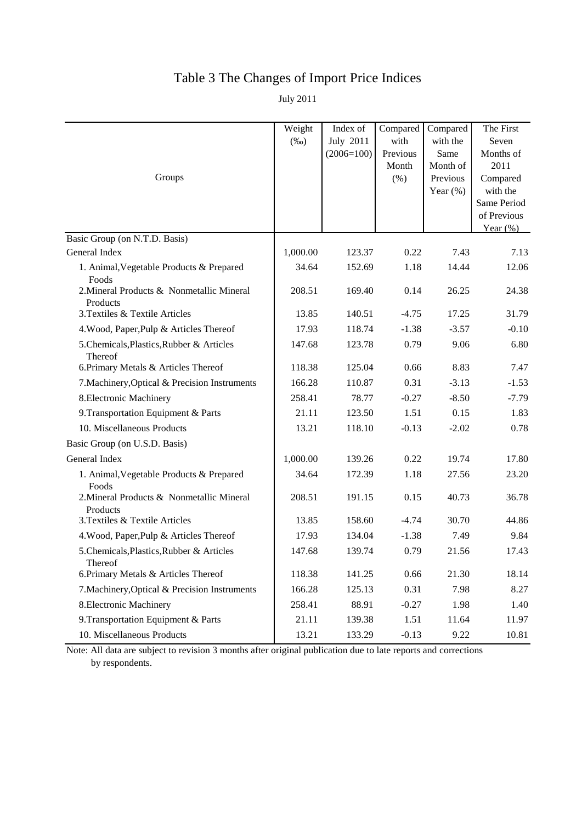## Table 3 The Changes of Import Price Indices

July 2011

|                                                       | Weight<br>$(\%0)$ | Index of<br><b>July 2011</b> | Compared<br>with | Compared<br>with the | The First<br>Seven |
|-------------------------------------------------------|-------------------|------------------------------|------------------|----------------------|--------------------|
|                                                       |                   | $(2006=100)$                 | Previous         | Same                 | Months of          |
|                                                       |                   |                              | Month            | Month of             | 2011               |
| Groups                                                |                   |                              | (% )             | Previous             | Compared           |
|                                                       |                   |                              |                  | Year $(\% )$         | with the           |
|                                                       |                   |                              |                  |                      | Same Period        |
|                                                       |                   |                              |                  |                      | of Previous        |
| Basic Group (on N.T.D. Basis)                         |                   |                              |                  |                      | Year $(\%)$        |
| General Index                                         | 1,000.00          | 123.37                       | 0.22             | 7.43                 | 7.13               |
| 1. Animal, Vegetable Products & Prepared<br>Foods     | 34.64             | 152.69                       | 1.18             | 14.44                | 12.06              |
| 2. Mineral Products & Nonmetallic Mineral<br>Products | 208.51            | 169.40                       | 0.14             | 26.25                | 24.38              |
| 3. Textiles & Textile Articles                        | 13.85             | 140.51                       | $-4.75$          | 17.25                | 31.79              |
| 4. Wood, Paper, Pulp & Articles Thereof               | 17.93             | 118.74                       | $-1.38$          | $-3.57$              | $-0.10$            |
| 5. Chemicals, Plastics, Rubber & Articles<br>Thereof  | 147.68            | 123.78                       | 0.79             | 9.06                 | 6.80               |
| 6. Primary Metals & Articles Thereof                  | 118.38            | 125.04                       | 0.66             | 8.83                 | 7.47               |
| 7. Machinery, Optical & Precision Instruments         | 166.28            | 110.87                       | 0.31             | $-3.13$              | $-1.53$            |
| 8. Electronic Machinery                               | 258.41            | 78.77                        | $-0.27$          | $-8.50$              | $-7.79$            |
| 9. Transportation Equipment & Parts                   | 21.11             | 123.50                       | 1.51             | 0.15                 | 1.83               |
| 10. Miscellaneous Products                            | 13.21             | 118.10                       | $-0.13$          | $-2.02$              | 0.78               |
| Basic Group (on U.S.D. Basis)                         |                   |                              |                  |                      |                    |
| General Index                                         | 1,000.00          | 139.26                       | 0.22             | 19.74                | 17.80              |
| 1. Animal, Vegetable Products & Prepared<br>Foods     | 34.64             | 172.39                       | 1.18             | 27.56                | 23.20              |
| 2. Mineral Products & Nonmetallic Mineral<br>Products | 208.51            | 191.15                       | 0.15             | 40.73                | 36.78              |
| 3. Textiles & Textile Articles                        | 13.85             | 158.60                       | $-4.74$          | 30.70                | 44.86              |
| 4. Wood, Paper, Pulp & Articles Thereof               | 17.93             | 134.04                       | $-1.38$          | 7.49                 | 9.84               |
| 5. Chemicals, Plastics, Rubber & Articles<br>Thereof  | 147.68            | 139.74                       | 0.79             | 21.56                | 17.43              |
| 6. Primary Metals & Articles Thereof                  | 118.38            | 141.25                       | 0.66             | 21.30                | 18.14              |
| 7. Machinery, Optical & Precision Instruments         | 166.28            | 125.13                       | 0.31             | 7.98                 | 8.27               |
| 8. Electronic Machinery                               | 258.41            | 88.91                        | $-0.27$          | 1.98                 | 1.40               |
| 9. Transportation Equipment & Parts                   | 21.11             | 139.38                       | 1.51             | 11.64                | 11.97              |
| 10. Miscellaneous Products                            | 13.21             | 133.29                       | $-0.13$          | 9.22                 | 10.81              |

Note: All data are subject to revision 3 months after original publication due to late reports and corrections by respondents.